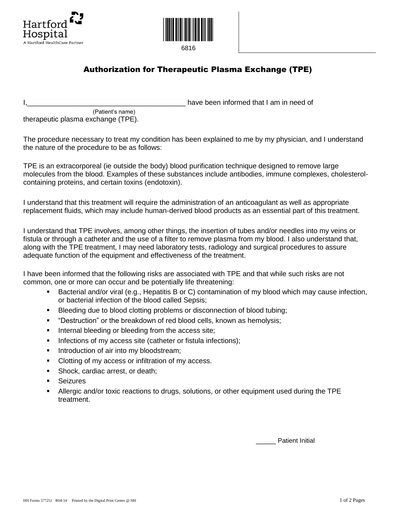



6816

## Authorization for Therapeutic Plasma Exchange (TPE)

have been informed that I am in need of

 (Patient's name) therapeutic plasma exchange (TPE).

The procedure necessary to treat my condition has been explained to me by my physician, and I understand the nature of the procedure to be as follows:

TPE is an extracorporeal (ie outside the body) blood purification technique designed to remove large molecules from the blood. Examples of these substances include antibodies, immune complexes, cholesterolcontaining proteins, and certain toxins (endotoxin).

I understand that this treatment will require the administration of an anticoagulant as well as appropriate replacement fluids, which may include human-derived blood products as an essential part of this treatment.

I understand that TPE involves, among other things, the insertion of tubes and/or needles into my veins or fistula or through a catheter and the use of a filter to remove plasma from my blood. I also understand that, along with the TPE treatment, I may need laboratory tests, radiology and surgical procedures to assure adequate function of the equipment and effectiveness of the treatment.

I have been informed that the following risks are associated with TPE and that while such risks are not common, one or more can occur and be potentially life threatening:

- Bacterial and/or viral (e.g., Hepatitis B or C) contamination of my blood which may cause infection, or bacterial infection of the blood called Sepsis;
- Bleeding due to blood clotting problems or disconnection of blood tubing;
- "Destruction" or the breakdown of red blood cells, known as hemolysis;
- **Internal bleeding or bleeding from the access site;**
- Infections of my access site (catheter or fistula infections);
- Introduction of air into my bloodstream;
- Clotting of my access or infiltration of my access.
- Shock, cardiac arrest, or death;
- Seizures
- Allergic and/or toxic reactions to drugs, solutions, or other equipment used during the TPE treatment.

Patient Initial